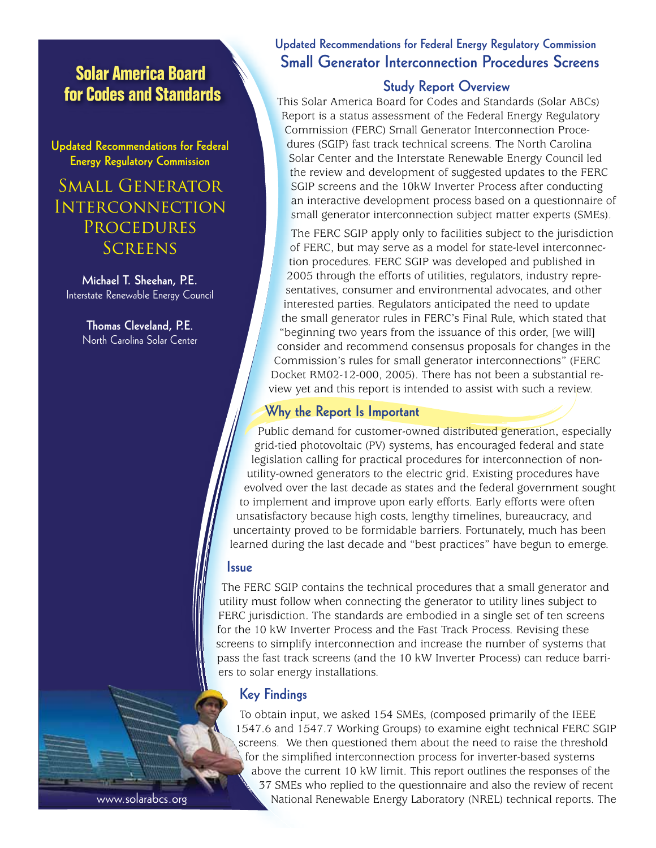**Solar America Board for Codes and Standards**

**Updated Recommendations for Federal Energy Regulatory Commission** 

# Small Generator **INTERCONNECTION PROCEDURES SCREENS**

**Michael T. Sheehan, P.E.** Interstate Renewable Energy Council

> **Thomas Cleveland, P.E**. North Carolina Solar Center

## **Updated Recommendations for Federal Energy Regulatory Commission Small Generator Interconnection Procedures Screens**

#### **Study Report Overview**

This Solar America Board for Codes and Standards (Solar ABCs) Report is a status assessment of the Federal Energy Regulatory Commission (FERC) Small Generator Interconnection Procedures (SGIP) fast track technical screens. The North Carolina Solar Center and the Interstate Renewable Energy Council led the review and development of suggested updates to the FERC SGIP screens and the 10kW Inverter Process after conducting an interactive development process based on a questionnaire of small generator interconnection subject matter experts (SMEs).

The FERC SGIP apply only to facilities subject to the jurisdiction of FERC, but may serve as a model for state-level interconnection procedures. FERC SGIP was developed and published in 2005 through the efforts of utilities, regulators, industry representatives, consumer and environmental advocates, and other interested parties. Regulators anticipated the need to update the small generator rules in FERC's Final Rule, which stated that "beginning two years from the issuance of this order, [we will] consider and recommend consensus proposals for changes in the Commission's rules for small generator interconnections" (FERC Docket RM02-12-000, 2005). There has not been a substantial review yet and this report is intended to assist with such a review.

#### **Why the Report Is Important**

Public demand for customer-owned distributed generation, especially grid-tied photovoltaic (PV) systems, has encouraged federal and state legislation calling for practical procedures for interconnection of nonutility-owned generators to the electric grid. Existing procedures have evolved over the last decade as states and the federal government sought to implement and improve upon early efforts. Early efforts were often unsatisfactory because high costs, lengthy timelines, bureaucracy, and uncertainty proved to be formidable barriers. Fortunately, much has been learned during the last decade and "best practices" have begun to emerge.

#### **Issue**

The FERC SGIP contains the technical procedures that a small generator and utility must follow when connecting the generator to utility lines subject to FERC jurisdiction. The standards are embodied in a single set of ten screens for the 10 kW Inverter Process and the Fast Track Process. Revising these screens to simplify interconnection and increase the number of systems that pass the fast track screens (and the 10 kW Inverter Process) can reduce barriers to solar energy installations.

## **Key Findings**

To obtain input, we asked 154 SMEs, (composed primarily of the IEEE 1547.6 and 1547.7 Working Groups) to examine eight technical FERC SGIP screens. We then questioned them about the need to raise the threshold for the simplified interconnection process for inverter-based systems above the current 10 kW limit. This report outlines the responses of the 37 SMEs who replied to the questionnaire and also the review of recent National Renewable Energy Laboratory (NREL) technical reports. The

www.solarabcs.org